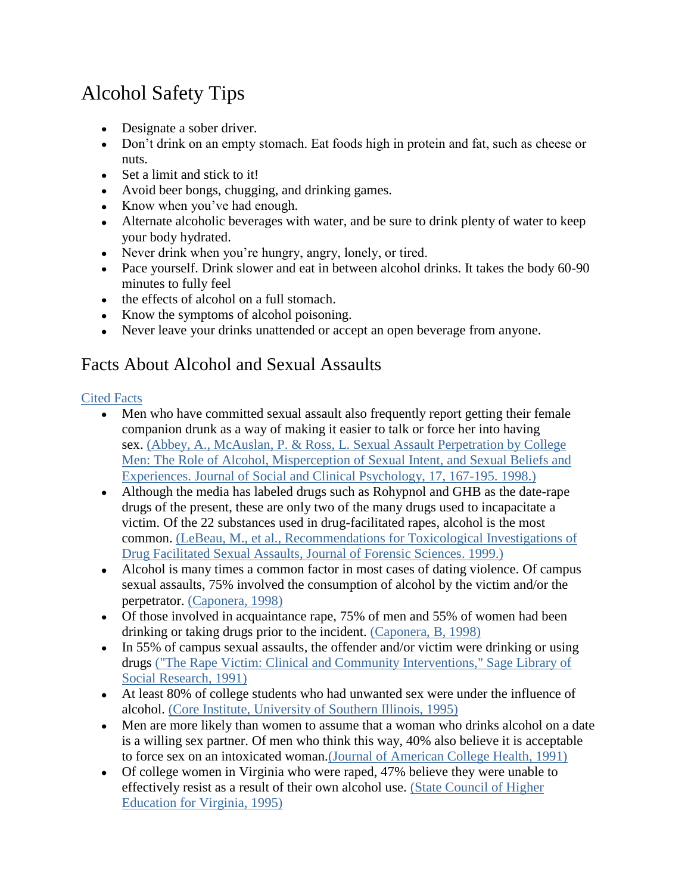## Alcohol Safety Tips

- Designate a sober driver.
- Don't drink on an empty stomach. Eat foods high in protein and fat, such as cheese or nuts.
- Set a limit and stick to it!
- Avoid beer bongs, chugging, and drinking games.
- Know when you've had enough.
- Alternate alcoholic beverages with water, and be sure to drink plenty of water to keep your body hydrated.
- Never drink when you're hungry, angry, lonely, or tired.
- Pace yourself. Drink slower and eat in between alcohol drinks. It takes the body 60-90 minutes to fully feel
- the effects of alcohol on a full stomach.
- Know the symptoms of alcohol poisoning.
- Never leave your drinks unattended or accept an open beverage from anyone.

## Facts About Alcohol and Sexual Assaults

## [Cited Facts](http://csip.wayne.edu/alcoholfacts.php)

- Men who have committed sexual assault also frequently report getting their female  $\bullet$ companion drunk as a way of making it easier to talk or force her into having sex. [\(Abbey, A., McAuslan, P. & Ross, L. Sexual Assault Perpetration by College](http://guilfordjournals.com/doi/abs/10.1521/jscp.1998.17.2.167)  [Men: The Role of Alcohol, Misperception of Sexual Intent, and Sexual Beliefs and](http://guilfordjournals.com/doi/abs/10.1521/jscp.1998.17.2.167)  [Experiences. Journal of Social and Clinical Psychology, 17, 167-195. 1998.\)](http://guilfordjournals.com/doi/abs/10.1521/jscp.1998.17.2.167)
- Although the media has labeled drugs such as Rohypnol and GHB as the date-rape drugs of the present, these are only two of the many drugs used to incapacitate a victim. Of the 22 substances used in drug-facilitated rapes, alcohol is the most common. [\(LeBeau, M., et al., Recommendations for Toxicological Investigations of](http://www.fbi.gov/about-us/lab/forensic-science-communications/fsc/april1999/index.htm/lebeau.htm)  [Drug Facilitated Sexual Assaults, Journal of Forensic Sciences. 1999.\)](http://www.fbi.gov/about-us/lab/forensic-science-communications/fsc/april1999/index.htm/lebeau.htm)
- Alcohol is many times a common factor in most cases of dating violence. Of campus sexual assaults, 75% involved the consumption of alcohol by the victim and/or the perpetrator. [\(Caponera, 1998\)](http://www.nmcsap.org/assessment.html)
- Of those involved in acquaintance rape, 75% of men and 55% of women had been drinking or taking drugs prior to the incident. [\(Caponera, B, 1998\)](http://www.nmcsap.org/assessment.html)
- In 55% of campus sexual assaults, the offender and/or victim were drinking or using drugs [\("The Rape Victim: Clinical and Community Interventions," Sage Library of](http://www.sagepub.com/books/Book3348?q=%20Qualitative%20Health%20Research%20&subject=H00&fs=1)  [Social Research, 1991\)](http://www.sagepub.com/books/Book3348?q=%20Qualitative%20Health%20Research%20&subject=H00&fs=1)
- At least 80% of college students who had unwanted sex were under the influence of alcohol. [\(Core Institute, University of Southern Illinois, 1995\)](http://www.collegedrinkingprevention.gov/supportingresearch/journal/presley.aspx)
- Men are more likely than women to assume that a woman who drinks alcohol on a date is a willing sex partner. Of men who think this way, 40% also believe it is acceptable to force sex on an intoxicated woman[.\(Journal of American College Health, 1991\)](http://www.tandfonline.com/loi/vach20?open=40&repitition=0&&#.UlghQtKsiSp)
- Of college women in Virginia who were raped, 47% believe they were unable to effectively resist as a result of their own alcohol use. [\(State Council of Higher](http://www.worldcat.org/title/campus-sexual-assault-in-virginia-the-report-of-students-and-the-response-of-institutions/oclc/32868370)  [Education for Virginia, 1995\)](http://www.worldcat.org/title/campus-sexual-assault-in-virginia-the-report-of-students-and-the-response-of-institutions/oclc/32868370)